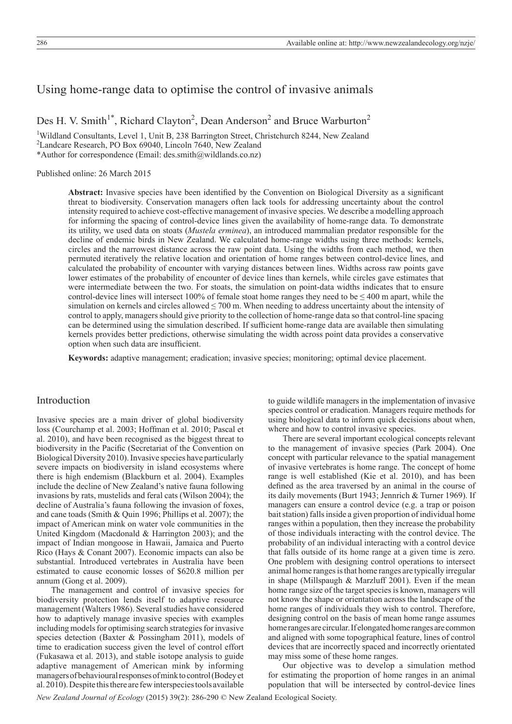# Using home-range data to optimise the control of invasive animals

Des H. V. Smith<sup>1\*</sup>, Richard Clayton<sup>2</sup>, Dean Anderson<sup>2</sup> and Bruce Warburton<sup>2</sup>

<sup>1</sup>Wildland Consultants, Level 1, Unit B, 238 Barrington Street, Christchurch 8244, New Zealand 2 Landcare Research, PO Box 69040, Lincoln 7640, New Zealand \*Author for correspondence (Email: des.smith@wildlands.co.nz)

Published online: 26 March 2015

**Abstract:** Invasive species have been identified by the Convention on Biological Diversity as a significant threat to biodiversity. Conservation managers often lack tools for addressing uncertainty about the control intensity required to achieve cost-effective management of invasive species. We describe a modelling approach for informing the spacing of control-device lines given the availability of home-range data. To demonstrate its utility, we used data on stoats (*Mustela erminea*), an introduced mammalian predator responsible for the decline of endemic birds in New Zealand. We calculated home-range widths using three methods: kernels, circles and the narrowest distance across the raw point data. Using the widths from each method, we then permuted iteratively the relative location and orientation of home ranges between control-device lines, and calculated the probability of encounter with varying distances between lines. Widths across raw points gave lower estimates of the probability of encounter of device lines than kernels, while circles gave estimates that were intermediate between the two. For stoats, the simulation on point-data widths indicates that to ensure control-device lines will intersect 100% of female stoat home ranges they need to be  $\leq 400$  m apart, while the simulation on kernels and circles allowed  $\leq$  700 m. When needing to address uncertainty about the intensity of control to apply, managers should give priority to the collection of home-range data so that control-line spacing can be determined using the simulation described. If sufficient home-range data are available then simulating kernels provides better predictions, otherwise simulating the width across point data provides a conservative option when such data are insufficient.

**Keywords:** adaptive management; eradication; invasive species; monitoring; optimal device placement.

# Introduction

Invasive species are a main driver of global biodiversity loss (Courchamp et al. 2003; Hoffman et al. 2010; Pascal et al. 2010), and have been recognised as the biggest threat to biodiversity in the Pacific (Secretariat of the Convention on Biological Diversity 2010). Invasive species have particularly severe impacts on biodiversity in island ecosystems where there is high endemism (Blackburn et al. 2004). Examples include the decline of New Zealand's native fauna following invasions by rats, mustelids and feral cats (Wilson 2004); the decline of Australia's fauna following the invasion of foxes, and cane toads (Smith & Quin 1996; Phillips et al. 2007); the impact of American mink on water vole communities in the United Kingdom (Macdonald & Harrington 2003); and the impact of Indian mongoose in Hawaii, Jamaica and Puerto Rico (Hays & Conant 2007). Economic impacts can also be substantial. Introduced vertebrates in Australia have been estimated to cause economic losses of \$620.8 million per annum (Gong et al. 2009).

The management and control of invasive species for biodiversity protection lends itself to adaptive resource management (Walters 1986). Several studies have considered how to adaptively manage invasive species with examples including models for optimising search strategies for invasive species detection (Baxter & Possingham 2011), models of time to eradication success given the level of control effort (Fukasawa et al. 2013), and stable isotope analysis to guide adaptive management of American mink by informing managers of behavioural responses of mink to control (Bodey et al. 2010). Despite this there are few interspecies tools available to guide wildlife managers in the implementation of invasive species control or eradication. Managers require methods for using biological data to inform quick decisions about when, where and how to control invasive species.

There are several important ecological concepts relevant to the management of invasive species (Park 2004). One concept with particular relevance to the spatial management of invasive vertebrates is home range. The concept of home range is well established (Kie et al. 2010), and has been defined as the area traversed by an animal in the course of its daily movements (Burt 1943; Jennrich & Turner 1969). If managers can ensure a control device (e.g. a trap or poison bait station) falls inside a given proportion of individual home ranges within a population, then they increase the probability of those individuals interacting with the control device. The probability of an individual interacting with a control device that falls outside of its home range at a given time is zero. One problem with designing control operations to intersect animal home ranges is that home ranges are typically irregular in shape (Millspaugh & Marzluff 2001). Even if the mean home range size of the target species is known, managers will not know the shape or orientation across the landscape of the home ranges of individuals they wish to control. Therefore, designing control on the basis of mean home range assumes home ranges are circular. If elongated home ranges are common and aligned with some topographical feature, lines of control devices that are incorrectly spaced and incorrectly orientated may miss some of these home ranges.

Our objective was to develop a simulation method for estimating the proportion of home ranges in an animal population that will be intersected by control-device lines

*New Zealand Journal of Ecology* (2015) 39(2): 286-290 © New Zealand Ecological Society.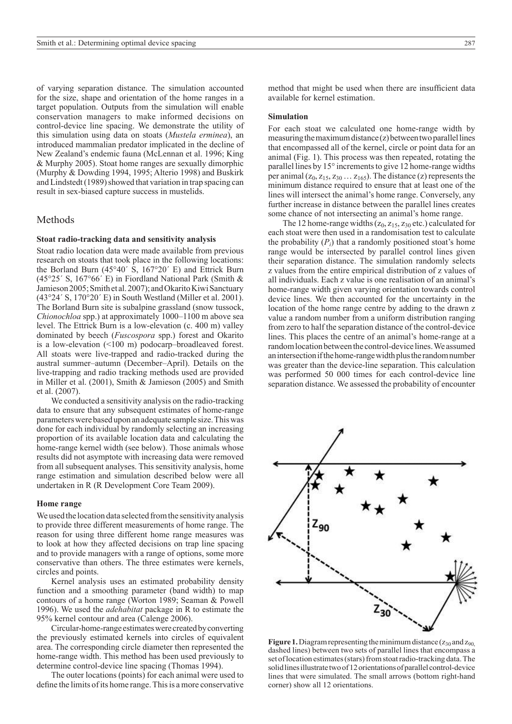of varying separation distance. The simulation accounted for the size, shape and orientation of the home ranges in a target population. Outputs from the simulation will enable conservation managers to make informed decisions on control-device line spacing. We demonstrate the utility of this simulation using data on stoats (*Mustela erminea*), an introduced mammalian predator implicated in the decline of New Zealand's endemic fauna (McLennan et al. 1996; King & Murphy 2005). Stoat home ranges are sexually dimorphic (Murphy & Dowding 1994, 1995; Alterio 1998) and Buskirk and Lindstedt (1989) showed that variation in trap spacing can result in sex-biased capture success in mustelids.

# Methods

#### **Stoat radio-tracking data and sensitivity analysis**

Stoat radio location data were made available from previous research on stoats that took place in the following locations: the Borland Burn (45°40´ S, 167°20´ E) and Ettrick Burn (45°25´ S, 167°66´ E) in Fiordland National Park (Smith & Jamieson 2005; Smith et al. 2007); and Okarito Kiwi Sanctuary (43°24´ S, 170°20´ E) in South Westland (Miller et al. 2001). The Borland Burn site is subalpine grassland (snow tussock, *Chionochloa* spp.) at approximately 1000–1100 m above sea level. The Ettrick Burn is a low-elevation (c. 400 m) valley dominated by beech (*Fuscospora* spp.) forest and Okarito is a low-elevation (<100 m) podocarp–broadleaved forest. All stoats were live-trapped and radio-tracked during the austral summer–autumn (December–April). Details on the live-trapping and radio tracking methods used are provided in Miller et al. (2001), Smith & Jamieson (2005) and Smith et al. (2007).

We conducted a sensitivity analysis on the radio-tracking data to ensure that any subsequent estimates of home-range parameters were based upon an adequate sample size. This was done for each individual by randomly selecting an increasing proportion of its available location data and calculating the home-range kernel width (see below). Those animals whose results did not asymptote with increasing data were removed from all subsequent analyses. This sensitivity analysis, home range estimation and simulation described below were all undertaken in R (R Development Core Team 2009).

#### **Home range**

We used the location data selected from the sensitivity analysis to provide three different measurements of home range. The reason for using three different home range measures was to look at how they affected decisions on trap line spacing and to provide managers with a range of options, some more conservative than others. The three estimates were kernels, circles and points.

Kernel analysis uses an estimated probability density function and a smoothing parameter (band width) to map contours of a home range (Worton 1989; Seaman & Powell 1996). We used the *adehabitat* package in R to estimate the 95% kernel contour and area (Calenge 2006).

Circular-home-range estimates were created by converting the previously estimated kernels into circles of equivalent area. The corresponding circle diameter then represented the home-range width. This method has been used previously to determine control-device line spacing (Thomas 1994).

The outer locations (points) for each animal were used to define the limits of its home range. This is a more conservative method that might be used when there are insufficient data available for kernel estimation.

### **Simulation**

For each stoat we calculated one home-range width by measuring the maximum distance (z) between two parallel lines that encompassed all of the kernel, circle or point data for an animal (Fig. 1). This process was then repeated, rotating the parallel lines by 15° increments to give 12 home-range widths per animal  $(z_0, z_{15}, z_{30} \dots z_{165})$ . The distance (z) represents the minimum distance required to ensure that at least one of the lines will intersect the animal's home range. Conversely, any further increase in distance between the parallel lines creates some chance of not intersecting an animal's home range.

The 12 home-range widths  $(z_0, z_1, z_3)$  etc.) calculated for each stoat were then used in a randomisation test to calculate the probability  $(P_i)$  that a randomly positioned stoat's home range would be intersected by parallel control lines given their separation distance. The simulation randomly selects z values from the entire empirical distribution of z values of all individuals. Each z value is one realisation of an animal's home-range width given varying orientation towards control device lines. We then accounted for the uncertainty in the location of the home range centre by adding to the drawn z value a random number from a uniform distribution ranging from zero to half the separation distance of the control-device lines. This places the centre of an animal's home-range at a random location between the control-device lines. We assumed an intersection if the home-range width plus the random number was greater than the device-line separation. This calculation was performed 50 000 times for each control-device line separation distance. We assessed the probability of encounter



**Figure 1.** Diagram representing the minimum distance  $(z_{30}$  and  $z_{90}$ , dashed lines) between two sets of parallel lines that encompass a set of location estimates (stars) from stoat radio-tracking data. The solid lines illustrate two of 12 orientations of parallel control-device lines that were simulated. The small arrows (bottom right-hand corner) show all 12 orientations.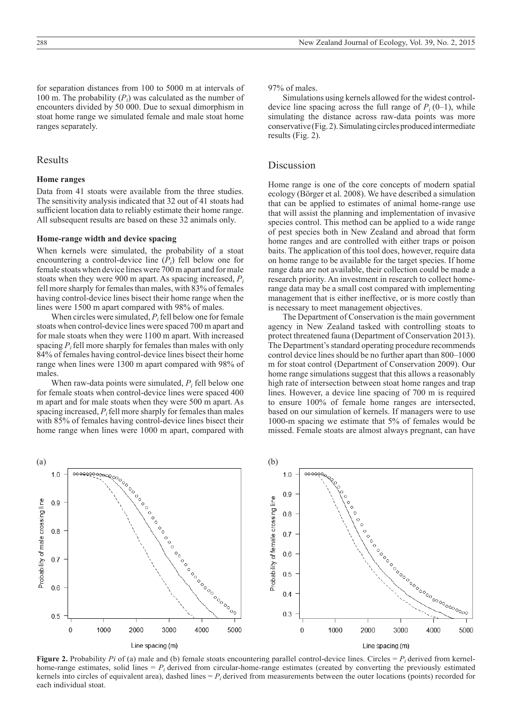for separation distances from 100 to 5000 m at intervals of 100 m. The probability  $(P_i)$  was calculated as the number of encounters divided by 50 000. Due to sexual dimorphism in stoat home range we simulated female and male stoat home ranges separately.

# Results

#### **Home ranges**

Data from 41 stoats were available from the three studies. The sensitivity analysis indicated that 32 out of 41 stoats had sufficient location data to reliably estimate their home range. All subsequent results are based on these 32 animals only.

### **Home-range width and device spacing**

When kernels were simulated, the probability of a stoat encountering a control-device line  $(P_i)$  fell below one for female stoats when device lines were 700 m apart and for male stoats when they were 900 m apart. As spacing increased, *Pi* fell more sharply for females than males, with 83% of females having control-device lines bisect their home range when the lines were 1500 m apart compared with 98% of males.

When circles were simulated,  $P_i$  fell below one for female stoats when control-device lines were spaced 700 m apart and for male stoats when they were 1100 m apart. With increased spacing  $P_i$  fell more sharply for females than males with only 84% of females having control-device lines bisect their home range when lines were 1300 m apart compared with 98% of males.

When raw-data points were simulated,  $P_i$  fell below one for female stoats when control-device lines were spaced 400 m apart and for male stoats when they were 500 m apart. As spacing increased,  $P_i$  fell more sharply for females than males with 85% of females having control-device lines bisect their home range when lines were 1000 m apart, compared with 97% of males.

Simulations using kernels allowed for the widest controldevice line spacing across the full range of  $P_i(0-1)$ , while simulating the distance across raw-data points was more conservative (Fig. 2). Simulating circles produced intermediate results (Fig. 2).

# Discussion

Home range is one of the core concepts of modern spatial ecology (Börger et al. 2008). We have described a simulation that can be applied to estimates of animal home-range use that will assist the planning and implementation of invasive species control. This method can be applied to a wide range of pest species both in New Zealand and abroad that form home ranges and are controlled with either traps or poison baits. The application of this tool does, however, require data on home range to be available for the target species. If home range data are not available, their collection could be made a research priority. An investment in research to collect homerange data may be a small cost compared with implementing management that is either ineffective, or is more costly than is necessary to meet management objectives.

The Department of Conservation is the main government agency in New Zealand tasked with controlling stoats to protect threatened fauna (Department of Conservation 2013). The Department's standard operating procedure recommends control device lines should be no further apart than 800–1000 m for stoat control (Department of Conservation 2009). Our home range simulations suggest that this allows a reasonably high rate of intersection between stoat home ranges and trap lines. However, a device line spacing of 700 m is required to ensure 100% of female home ranges are intersected, based on our simulation of kernels. If managers were to use 1000-m spacing we estimate that 5% of females would be missed. Female stoats are almost always pregnant, can have



**Figure 2.** Probability *Pi* of (a) male and (b) female stoats encountering parallel control-device lines. Circles  $= P_i$  derived from kernelhome-range estimates, solid lines  $= P_i$  derived from circular-home-range estimates (created by converting the previously estimated kernels into circles of equivalent area), dashed lines  $= P_i$  derived from measurements between the outer locations (points) recorded for each individual stoat.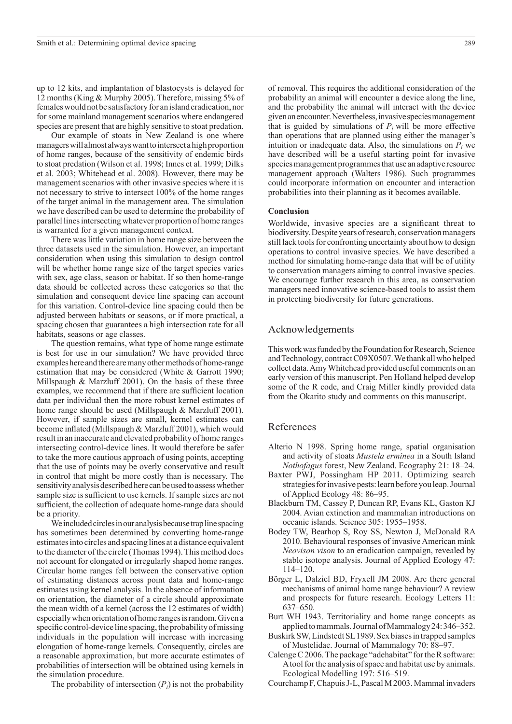up to 12 kits, and implantation of blastocysts is delayed for 12 months (King & Murphy 2005). Therefore, missing 5% of females would not be satisfactory for an island eradication, nor for some mainland management scenarios where endangered species are present that are highly sensitive to stoat predation.

Our example of stoats in New Zealand is one where managers will almost always want to intersect a high proportion of home ranges, because of the sensitivity of endemic birds to stoat predation (Wilson et al. 1998; Innes et al. 1999; Dilks et al. 2003; Whitehead et al. 2008). However, there may be management scenarios with other invasive species where it is not necessary to strive to intersect 100% of the home ranges of the target animal in the management area. The simulation we have described can be used to determine the probability of parallel lines intersecting whatever proportion of home ranges is warranted for a given management context.

There was little variation in home range size between the three datasets used in the simulation. However, an important consideration when using this simulation to design control will be whether home range size of the target species varies with sex, age class, season or habitat. If so then home-range data should be collected across these categories so that the simulation and consequent device line spacing can account for this variation. Control-device line spacing could then be adjusted between habitats or seasons, or if more practical, a spacing chosen that guarantees a high intersection rate for all habitats, seasons or age classes.

The question remains, what type of home range estimate is best for use in our simulation? We have provided three examples here and there are many other methods of home-range estimation that may be considered (White & Garrott 1990; Millspaugh & Marzluff 2001). On the basis of these three examples, we recommend that if there are sufficient location data per individual then the more robust kernel estimates of home range should be used (Millspaugh & Marzluff 2001). However, if sample sizes are small, kernel estimates can become inflated (Millspaugh & Marzluff 2001), which would result in an inaccurate and elevated probability of home ranges intersecting control-device lines. It would therefore be safer to take the more cautious approach of using points, accepting that the use of points may be overly conservative and result in control that might be more costly than is necessary. The sensitivity analysis described here can be used to assess whether sample size is sufficient to use kernels. If sample sizes are not sufficient, the collection of adequate home-range data should be a priority.

We included circles in our analysis because trap line spacing has sometimes been determined by converting home-range estimates into circles and spacing lines at a distance equivalent to the diameter of the circle (Thomas 1994). This method does not account for elongated or irregularly shaped home ranges. Circular home ranges fell between the conservative option of estimating distances across point data and home-range estimates using kernel analysis. In the absence of information on orientation, the diameter of a circle should approximate the mean width of a kernel (across the 12 estimates of width) especially when orientation of home ranges is random. Given a specific control-device line spacing, the probability of missing individuals in the population will increase with increasing elongation of home-range kernels. Consequently, circles are a reasonable approximation, but more accurate estimates of probabilities of intersection will be obtained using kernels in the simulation procedure.

The probability of intersection  $(P_i)$  is not the probability

of removal. This requires the additional consideration of the probability an animal will encounter a device along the line, and the probability the animal will interact with the device given an encounter. Nevertheless, invasive species management that is guided by simulations of  $P_i$  will be more effective than operations that are planned using either the manager's intuition or inadequate data. Also, the simulations on  $P_i$  we have described will be a useful starting point for invasive species management programmes that use an adaptive resource management approach (Walters 1986). Such programmes could incorporate information on encounter and interaction probabilities into their planning as it becomes available.

#### **Conclusion**

Worldwide, invasive species are a significant threat to biodiversity. Despite years of research, conservation managers still lack tools for confronting uncertainty about how to design operations to control invasive species. We have described a method for simulating home-range data that will be of utility to conservation managers aiming to control invasive species. We encourage further research in this area, as conservation managers need innovative science-based tools to assist them in protecting biodiversity for future generations.

# Acknowledgements

This work was funded by the Foundation for Research, Science and Technology, contract C09X0507. We thank all who helped collect data. Amy Whitehead provided useful comments on an early version of this manuscript. Pen Holland helped develop some of the R code, and Craig Miller kindly provided data from the Okarito study and comments on this manuscript.

# References

- Alterio N 1998. Spring home range, spatial organisation and activity of stoats *Mustela erminea* in a South Island *Nothofagus* forest, New Zealand. Ecography 21: 18–24.
- Baxter PWJ, Possingham HP 2011. Optimizing search strategies for invasive pests: learn before you leap. Journal of Applied Ecology 48: 86–95.
- Blackburn TM, Cassey P, Duncan RP, Evans KL, Gaston KJ 2004. Avian extinction and mammalian introductions on oceanic islands. Science 305: 1955–1958.
- Bodey TW, Bearhop S, Roy SS, Newton J, McDonald RA 2010. Behavioural responses of invasive American mink *Neovison vison* to an eradication campaign, revealed by stable isotope analysis. Journal of Applied Ecology 47: 114–120.
- Börger L, Dalziel BD, Fryxell JM 2008. Are there general mechanisms of animal home range behaviour? A review and prospects for future research. Ecology Letters 11: 637–650.
- Burt WH 1943. Territoriality and home range concepts as applied to mammals. Journal of Mammalogy 24: 346–352.
- Buskirk SW, Lindstedt SL 1989. Sex biases in trapped samples of Mustelidae. Journal of Mammalogy 70: 88–97.
- Calenge C 2006. The package "adehabitat" for the R software: A tool for the analysis of space and habitat use by animals. Ecological Modelling 197: 516–519.
- Courchamp F, Chapuis J-L, Pascal M 2003. Mammal invaders